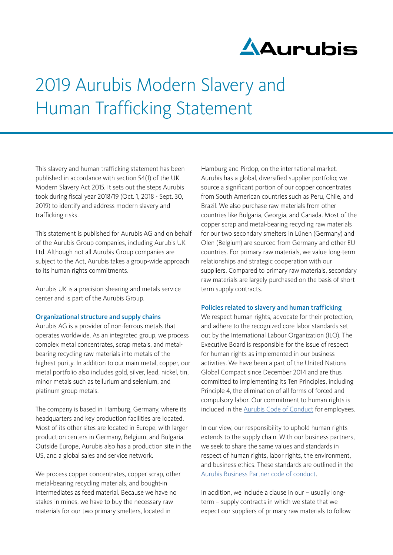

# 2019 Aurubis Modern Slavery and Human Trafficking Statement

This slavery and human trafficking statement has been published in accordance with section 54(1) of the UK Modern Slavery Act 2015. It sets out the steps Aurubis took during fiscal year 2018/19 (Oct. 1, 2018 - Sept. 30, 2019) to identify and address modern slavery and trafficking risks.

This statement is published for Aurubis AG and on behalf of the Aurubis Group companies, including Aurubis UK Ltd. Although not all Aurubis Group companies are subject to the Act, Aurubis takes a group-wide approach to its human rights commitments.

Aurubis UK is a precision shearing and metals service center and is part of the Aurubis Group.

#### Organizational structure and supply chains

Aurubis AG is a provider of non-ferrous metals that operates worldwide. As an integrated group, we process complex metal concentrates, scrap metals, and metalbearing recycling raw materials into metals of the highest purity. In addition to our main metal, copper, our metal portfolio also includes gold, silver, lead, nickel, tin, minor metals such as tellurium and selenium, and platinum group metals.

The company is based in Hamburg, Germany, where its headquarters and key production facilities are located. Most of its other sites are located in Europe, with larger production centers in Germany, Belgium, and Bulgaria. Outside Europe, Aurubis also has a production site in the US, and a global sales and service network.

We process copper concentrates, copper scrap, other metal-bearing recycling materials, and bought-in intermediates as feed material. Because we have no stakes in mines, we have to buy the necessary raw materials for our two primary smelters, located in

Hamburg and Pirdop, on the international market. Aurubis has a global, diversified supplier portfolio; we source a significant portion of our copper concentrates from South American countries such as Peru, Chile, and Brazil. We also purchase raw materials from other countries like Bulgaria, Georgia, and Canada. Most of the copper scrap and metal-bearing recycling raw materials for our two secondary smelters in Lünen (Germany) and Olen (Belgium) are sourced from Germany and other EU countries. For primary raw materials, we value long-term relationships and strategic cooperation with our suppliers. Compared to primary raw materials, secondary raw materials are largely purchased on the basis of shortterm supply contracts.

#### Policies related to slavery and human trafficking

We respect human rights, advocate for their protection, and adhere to the recognized core labor standards set out by the International Labour Organization (ILO). The Executive Board is responsible for the issue of respect for human rights as implemented in our business activities. We have been a part of the United Nations Global Compact since December 2014 and are thus committed to implementing its Ten Principles, including Principle 4, the elimination of all forms of forced and compulsory labor. Our commitment to human rights is included in the [Aurubis Code of Conduct](https://www.aurubis.com/binaries/content/assets/aurubis-en/dateien/responsibility/code-of-conduct/_2019_09_aurubis-verhaltenskodex-en_neu.pdf) for employees.

In our view, our responsibility to uphold human rights extends to the supply chain. With our business partners, we seek to share the same values and standards in respect of human rights, labor rights, the environment, and business ethics. These standards are outlined in the [Aurubis Business Partner code of conduct.](https://www.aurubis.com/binaries/content/assets/aurubisrelaunch/files/verantwortung/verhaltenskodex/aurubis_business_partner_code_of_conduct_en.pdf)

In addition, we include a clause in our – usually longterm – supply contracts in which we state that we expect our suppliers of primary raw materials to follow